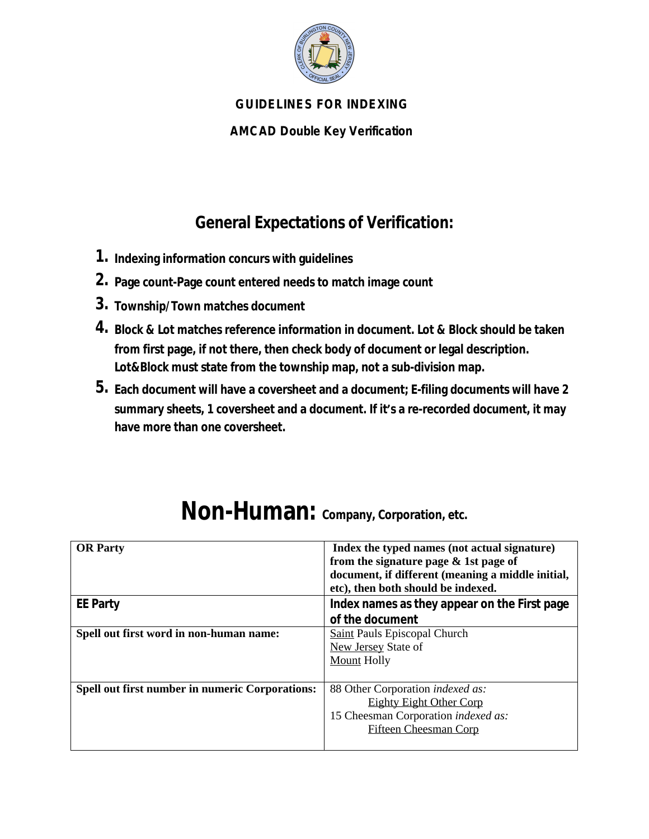

### **GUIDELINES FOR INDEXING**

**AMCAD Double Key Verification**

## **General Expectations of Verification:**

- **1. Indexing information concurs with guidelines**
- **2. Page count-Page count entered needs to match image count**
- **3. Township/Town matches document**
- **4. Block & Lot matches reference information in document. Lot & Block should be taken from first page, if not there, then check body of document or legal description. Lot&Block must state from the township map, not a sub-division map.**
- **5. Each document will have a coversheet and a document; E-filing documents will have 2 summary sheets, 1 coversheet and a document. If it's a re-recorded document, it may have more than one coversheet.**

| <b>OR</b> Party                                        | Index the typed names (not actual signature)      |
|--------------------------------------------------------|---------------------------------------------------|
|                                                        | from the signature page & 1st page of             |
|                                                        | document, if different (meaning a middle initial, |
|                                                        | etc), then both should be indexed.                |
| <b>EE Party</b>                                        | Index names as they appear on the First page      |
|                                                        | of the document                                   |
| Spell out first word in non-human name:                | <b>Saint Pauls Episcopal Church</b>               |
|                                                        | New Jersey State of                               |
|                                                        | <b>Mount Holly</b>                                |
|                                                        |                                                   |
| <b>Spell out first number in numeric Corporations:</b> | 88 Other Corporation indexed as:                  |
|                                                        | <b>Eighty Eight Other Corp</b>                    |
|                                                        | 15 Cheesman Corporation indexed as:               |
|                                                        | <b>Fifteen Cheesman Corp</b>                      |
|                                                        |                                                   |

## **Non-Human: Company, Corporation, etc.**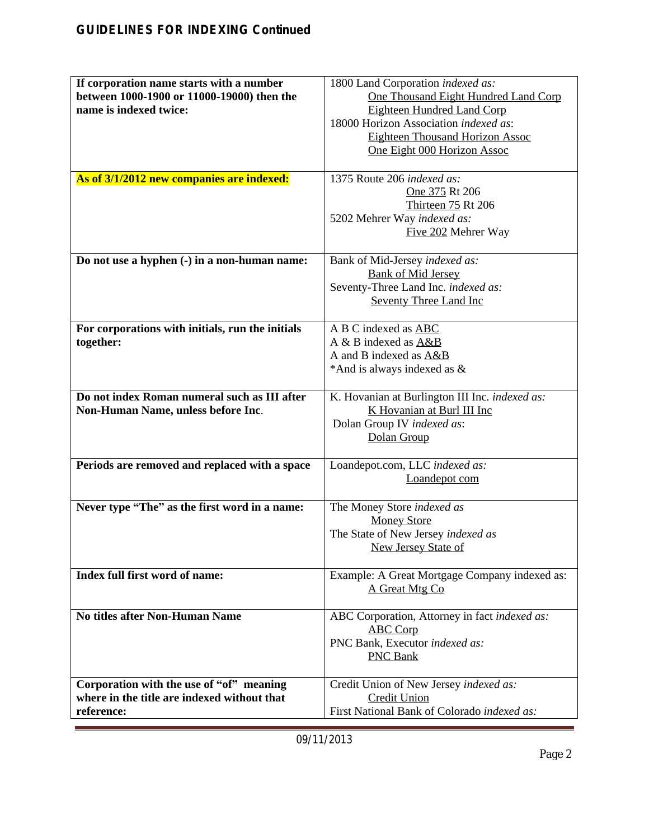| If corporation name starts with a number<br>between 1000-1900 or 11000-19000) then the<br>name is indexed twice: | 1800 Land Corporation indexed as:<br>One Thousand Eight Hundred Land Corp<br><b>Eighteen Hundred Land Corp</b><br>18000 Horizon Association indexed as:<br><b>Eighteen Thousand Horizon Assoc</b> |
|------------------------------------------------------------------------------------------------------------------|---------------------------------------------------------------------------------------------------------------------------------------------------------------------------------------------------|
|                                                                                                                  | One Eight 000 Horizon Assoc                                                                                                                                                                       |
| As of 3/1/2012 new companies are indexed:                                                                        | 1375 Route 206 indexed as:<br>One 375 Rt 206<br>Thirteen 75 Rt 206<br>5202 Mehrer Way indexed as:<br>Five 202 Mehrer Way                                                                          |
| Do not use a hyphen (-) in a non-human name:                                                                     | Bank of Mid-Jersey indexed as:<br><b>Bank of Mid Jersey</b><br>Seventy-Three Land Inc. indexed as:<br><b>Seventy Three Land Inc</b>                                                               |
| For corporations with initials, run the initials<br>together:                                                    | A B C indexed as ABC<br>A & B indexed as A&B<br>A and B indexed as A&B<br>*And is always indexed as &                                                                                             |
| Do not index Roman numeral such as III after<br>Non-Human Name, unless before Inc.                               | K. Hovanian at Burlington III Inc. indexed as:<br>K Hovanian at Burl III Inc<br>Dolan Group IV indexed as:<br>Dolan Group                                                                         |
| Periods are removed and replaced with a space                                                                    | Loandepot.com, LLC indexed as:<br>Loandepot com                                                                                                                                                   |
| Never type "The" as the first word in a name:                                                                    | The Money Store indexed as<br><b>Money Store</b><br>The State of New Jersey indexed as<br><b>New Jersey State of</b>                                                                              |
| Index full first word of name:                                                                                   | Example: A Great Mortgage Company indexed as:<br>A Great Mtg Co                                                                                                                                   |
| <b>No titles after Non-Human Name</b>                                                                            | ABC Corporation, Attorney in fact indexed as:<br><b>ABC Corp</b><br>PNC Bank, Executor indexed as:<br><b>PNC Bank</b>                                                                             |
| Corporation with the use of "of" meaning<br>where in the title are indexed without that<br>reference:            | Credit Union of New Jersey indexed as:<br><b>Credit Union</b><br>First National Bank of Colorado indexed as:                                                                                      |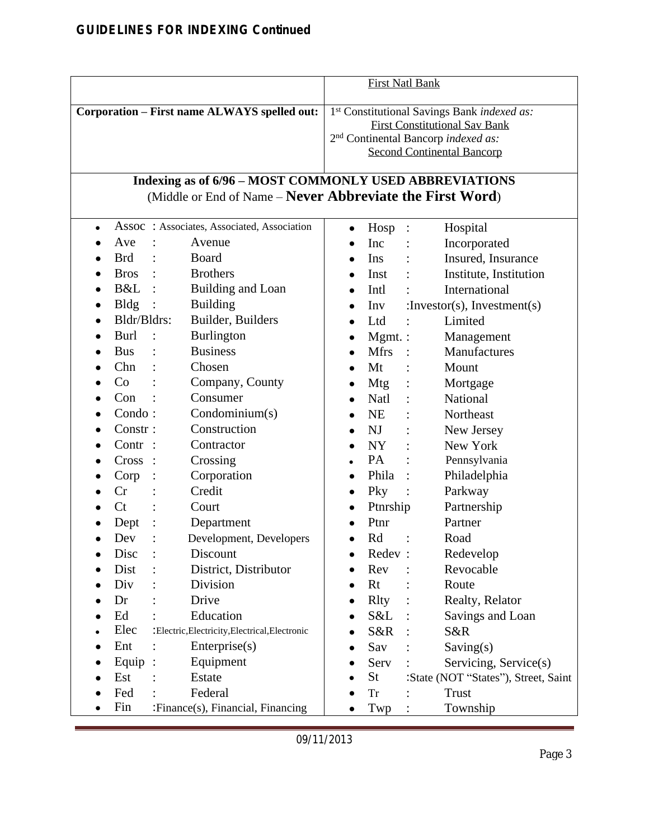|           |             |                        |                                                                                                        |           |              | <b>First Natl Bank</b> |                                                                                                                                                                             |
|-----------|-------------|------------------------|--------------------------------------------------------------------------------------------------------|-----------|--------------|------------------------|-----------------------------------------------------------------------------------------------------------------------------------------------------------------------------|
|           |             |                        | Corporation - First name ALWAYS spelled out:<br>Indexing as of 6/96 - MOST COMMONLY USED ABBREVIATIONS |           |              |                        | 1st Constitutional Savings Bank indexed as:<br><b>First Constitutional Sav Bank</b><br>2 <sup>nd</sup> Continental Bancorp indexed as:<br><b>Second Continental Bancorp</b> |
|           |             |                        | (Middle or End of Name – Never Abbreviate the First Word)                                              |           |              |                        |                                                                                                                                                                             |
| $\bullet$ |             |                        | Assoc : Associates, Associated, Association                                                            | $\bullet$ | Hosp         | :                      | Hospital                                                                                                                                                                    |
|           | Ave         |                        | Avenue                                                                                                 |           | Inc          |                        | Incorporated                                                                                                                                                                |
|           | <b>Brd</b>  |                        | <b>Board</b>                                                                                           | $\bullet$ | Ins          |                        | Insured, Insurance                                                                                                                                                          |
| $\bullet$ | Bros :      |                        | <b>Brothers</b>                                                                                        |           | Inst         |                        | Institute, Institution                                                                                                                                                      |
|           | $B&L$ :     |                        | Building and Loan                                                                                      | $\bullet$ | Intl         |                        | International                                                                                                                                                               |
|           | <b>Bldg</b> | $\sim$ :               | <b>Building</b>                                                                                        |           | Inv          |                        | :Investor(s), Investment(s)                                                                                                                                                 |
|           | Bldr/Bldrs: |                        | Builder, Builders                                                                                      |           | Ltd          |                        | Limited                                                                                                                                                                     |
| $\bullet$ | Burl        |                        | Burlington                                                                                             | $\bullet$ | $Mgmt.$ :    |                        | Management                                                                                                                                                                  |
|           | <b>Bus</b>  |                        | <b>Business</b>                                                                                        |           | <b>Mfrs</b>  |                        | Manufactures                                                                                                                                                                |
| $\bullet$ | Chn         |                        | Chosen                                                                                                 | $\bullet$ | Mt           |                        | Mount                                                                                                                                                                       |
|           | Co          |                        | Company, County                                                                                        |           | Mtg          |                        | Mortgage                                                                                                                                                                    |
|           | Con         |                        | Consumer                                                                                               | $\bullet$ | Natl         |                        | National                                                                                                                                                                    |
|           | Condo:      |                        | Condominium(s)                                                                                         |           | <b>NE</b>    |                        | Northeast                                                                                                                                                                   |
| $\bullet$ | Constr:     |                        | Construction                                                                                           |           | NJ           |                        | New Jersey                                                                                                                                                                  |
|           | $Contr$ :   |                        | Contractor                                                                                             |           | NY           |                        | New York                                                                                                                                                                    |
|           | Cross       | $\ddot{\phantom{1}}$ : | Crossing                                                                                               |           | PA           |                        | Pennsylvania                                                                                                                                                                |
|           | Corp        |                        | Corporation                                                                                            | $\bullet$ | Phila        |                        | Philadelphia                                                                                                                                                                |
|           | Cr          |                        | Credit                                                                                                 | $\bullet$ | Pky          |                        | Parkway                                                                                                                                                                     |
|           | Ct          |                        | Court                                                                                                  | $\bullet$ | Ptnrship     |                        | Partnership                                                                                                                                                                 |
|           | Dept        |                        | Department                                                                                             |           | Ptnr         |                        | Partner                                                                                                                                                                     |
|           | Dev         |                        | Development, Developers                                                                                |           | Rd           |                        | Road                                                                                                                                                                        |
|           | Disc        |                        | Discount                                                                                               |           | Redev:       |                        | Redevelop                                                                                                                                                                   |
|           | Dist        |                        | District, Distributor                                                                                  |           | Rev          |                        | Revocable                                                                                                                                                                   |
|           | Div         |                        | Division                                                                                               |           | Rt           |                        | Route                                                                                                                                                                       |
|           | Dr          |                        | Drive                                                                                                  |           | <b>R</b> lty |                        | Realty, Relator                                                                                                                                                             |
|           | Ed          |                        | Education                                                                                              |           | S&L          |                        | Savings and Loan                                                                                                                                                            |
|           | Elec        |                        | :Electric,Electricity,Electrical,Electronic                                                            |           | S&R          |                        | S&R                                                                                                                                                                         |
|           | Ent         |                        | Enterprise(s)                                                                                          |           | Sav          |                        | Saving(s)                                                                                                                                                                   |
|           | Equip       | $\ddot{\cdot}$         | Equipment                                                                                              |           | Serv         |                        | Servicing, Service(s)                                                                                                                                                       |
|           | Est         |                        | Estate                                                                                                 |           | <b>St</b>    |                        | :State (NOT "States"), Street, Saint                                                                                                                                        |
|           | Fed         |                        | Federal                                                                                                |           | <b>Tr</b>    |                        | <b>Trust</b>                                                                                                                                                                |
|           | Fin         |                        | :Finance(s), Financial, Financing                                                                      |           | Twp          |                        | Township                                                                                                                                                                    |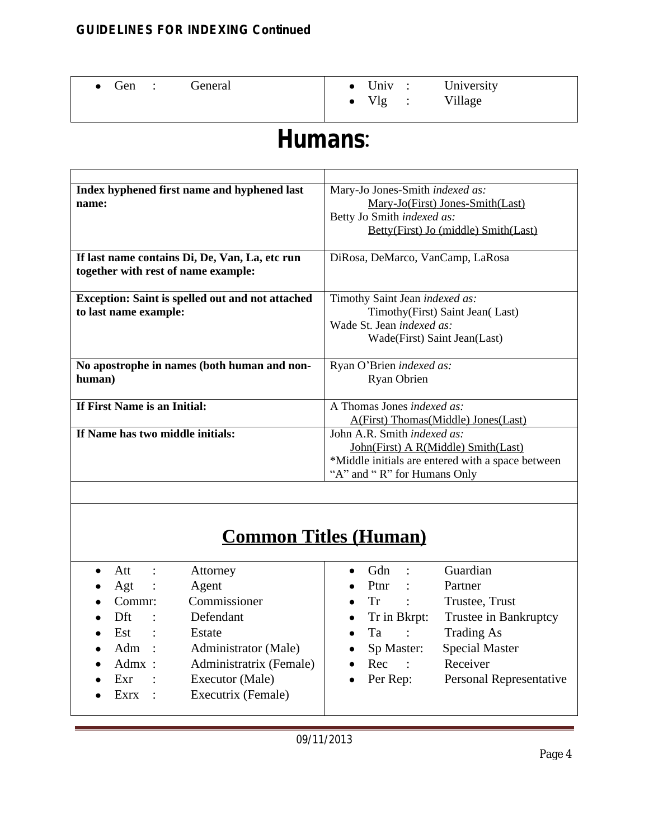| • Gen : General |                         | $\bullet$ Univ : University |
|-----------------|-------------------------|-----------------------------|
|                 | $\bullet$ Vlg : Village |                             |

# **Humans**:

| Index hyphened first name and hyphened last             | Mary-Jo Jones-Smith <i>indexed as:</i>            |
|---------------------------------------------------------|---------------------------------------------------|
| name:                                                   | Mary-Jo(First) Jones-Smith(Last)                  |
|                                                         | Betty Jo Smith indexed as:                        |
|                                                         | Betty(First) Jo (middle) Smith(Last)              |
|                                                         |                                                   |
| If last name contains Di, De, Van, La, etc run          | DiRosa, DeMarco, VanCamp, LaRosa                  |
| together with rest of name example:                     |                                                   |
|                                                         |                                                   |
| <b>Exception: Saint is spelled out and not attached</b> | Timothy Saint Jean indexed as:                    |
| to last name example:                                   | Timothy(First) Saint Jean(Last)                   |
|                                                         | Wade St. Jean <i>indexed as:</i>                  |
|                                                         | Wade(First) Saint Jean(Last)                      |
|                                                         |                                                   |
| No apostrophe in names (both human and non-             | Ryan O'Brien indexed as:                          |
| human)                                                  | <b>Ryan Obrien</b>                                |
|                                                         |                                                   |
| If First Name is an Initial:                            | A Thomas Jones <i>indexed as:</i>                 |
|                                                         | A(First) Thomas(Middle) Jones(Last)               |
| If Name has two middle initials:                        | John A.R. Smith <i>indexed as:</i>                |
|                                                         | John(First) A R(Middle) Smith(Last)               |
|                                                         | *Middle initials are entered with a space between |
|                                                         | "A" and "R" for Humans Only                       |
|                                                         |                                                   |

## **Common Titles (Human)**

| Att<br>$\sim$ 1.                   | Attorney                | Gdn<br>$\ddot{\phantom{1}}$ :<br>$\bullet$ | Guardian                |
|------------------------------------|-------------------------|--------------------------------------------|-------------------------|
| Agt<br>$\mathbb{R}^2$<br>$\bullet$ | Agent                   | <b>Ptnr</b><br>$\ddot{\cdot}$<br>$\bullet$ | Partner                 |
| Commr:                             | Commissioner            | Tr<br>$\ddot{\cdot}$<br>$\bullet$          | Trustee, Trust          |
| Dft<br>$\sim$ 10 $\sim$            | Defendant               | Tr in Bkrpt:<br>$\bullet$                  | Trustee in Bankruptcy   |
| Est<br>$\sim$ 1                    | Estate                  | Ta<br>$\ddot{\cdot}$<br>$\bullet$          | Trading As              |
| Adm<br>$\mathbb{R}^2$<br>$\bullet$ | Administrator (Male)    | Sp Master:<br>$\bullet$                    | <b>Special Master</b>   |
| $Admx$ :                           | Administratrix (Female) | Rec<br>$\sim$ :                            | Receiver                |
| Exr<br>$\sim$ 1                    | Executor (Male)         | Per Rep:                                   | Personal Representative |
| Exrx<br>$\mathbb{R}^2$             | Executrix (Female)      |                                            |                         |
|                                    |                         |                                            |                         |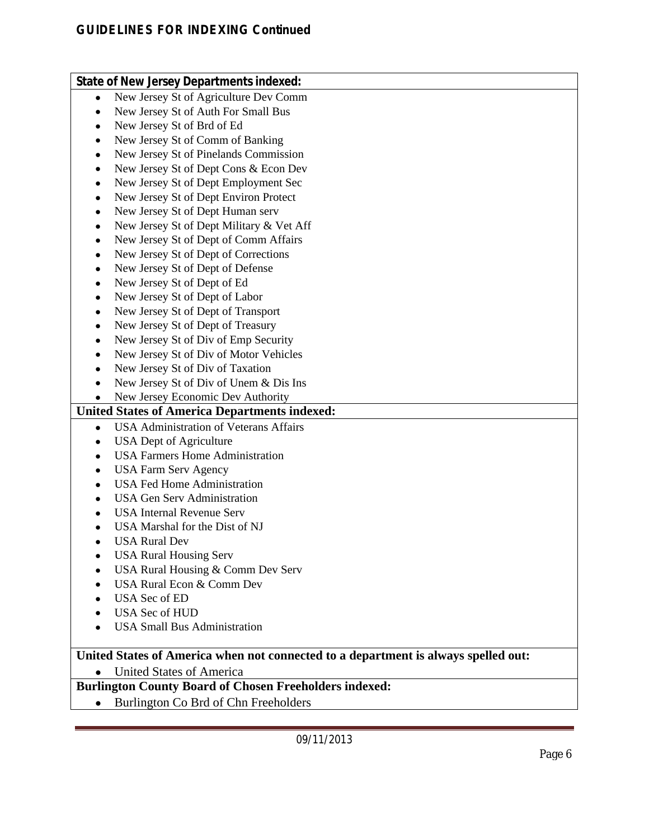|           | <b>State of New Jersey Departments indexed:</b>                                    |
|-----------|------------------------------------------------------------------------------------|
| $\bullet$ | New Jersey St of Agriculture Dev Comm                                              |
| $\bullet$ | New Jersey St of Auth For Small Bus                                                |
| $\bullet$ | New Jersey St of Brd of Ed                                                         |
| $\bullet$ | New Jersey St of Comm of Banking                                                   |
| $\bullet$ | New Jersey St of Pinelands Commission                                              |
| $\bullet$ | New Jersey St of Dept Cons & Econ Dev                                              |
|           | New Jersey St of Dept Employment Sec                                               |
| $\bullet$ | New Jersey St of Dept Environ Protect                                              |
| $\bullet$ | New Jersey St of Dept Human serv                                                   |
| $\bullet$ |                                                                                    |
| $\bullet$ | New Jersey St of Dept Military & Vet Aff                                           |
| $\bullet$ | New Jersey St of Dept of Comm Affairs                                              |
| $\bullet$ | New Jersey St of Dept of Corrections                                               |
| $\bullet$ | New Jersey St of Dept of Defense                                                   |
| $\bullet$ | New Jersey St of Dept of Ed                                                        |
| $\bullet$ | New Jersey St of Dept of Labor                                                     |
| $\bullet$ | New Jersey St of Dept of Transport                                                 |
| $\bullet$ | New Jersey St of Dept of Treasury                                                  |
| $\bullet$ | New Jersey St of Div of Emp Security                                               |
| $\bullet$ | New Jersey St of Div of Motor Vehicles                                             |
| $\bullet$ | New Jersey St of Div of Taxation                                                   |
|           | New Jersey St of Div of Unem & Dis Ins                                             |
|           | New Jersey Economic Dev Authority                                                  |
|           | <b>United States of America Departments indexed:</b>                               |
| $\bullet$ | <b>USA Administration of Veterans Affairs</b>                                      |
| $\bullet$ | <b>USA</b> Dept of Agriculture                                                     |
|           | <b>USA Farmers Home Administration</b>                                             |
|           | <b>USA Farm Serv Agency</b>                                                        |
|           | <b>USA Fed Home Administration</b>                                                 |
|           | <b>USA Gen Serv Administration</b>                                                 |
|           | <b>USA Internal Revenue Serv</b>                                                   |
|           | USA Marshal for the Dist of NJ                                                     |
|           | <b>USA Rural Dev</b>                                                               |
|           | <b>USA Rural Housing Serv</b>                                                      |
|           | USA Rural Housing & Comm Dev Serv                                                  |
|           | USA Rural Econ & Comm Dev                                                          |
|           | <b>USA Sec of ED</b>                                                               |
|           | <b>USA Sec of HUD</b>                                                              |
|           | <b>USA Small Bus Administration</b>                                                |
|           |                                                                                    |
|           | United States of America when not connected to a department is always spelled out: |
|           | <b>United States of America</b>                                                    |
|           | <b>Burlington County Board of Chosen Freeholders indexed:</b>                      |
|           | Burlington Co Brd of Chn Freeholders                                               |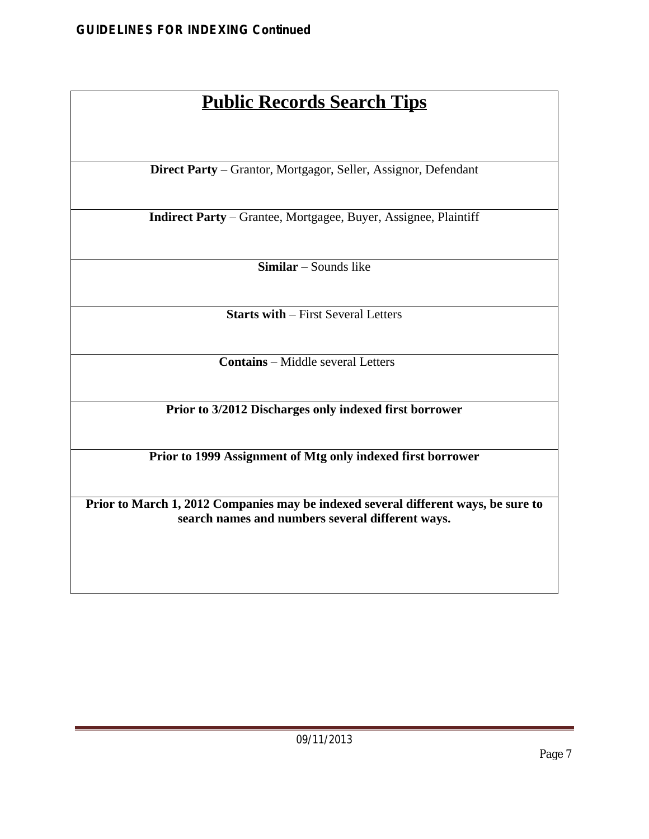## **Public Records Search Tips**

**Direct Party** – Grantor, Mortgagor, Seller, Assignor, Defendant

**Indirect Party** – Grantee, Mortgagee, Buyer, Assignee, Plaintiff

**Similar** – Sounds like

**Starts with** – First Several Letters

**Contains** – Middle several Letters

**Prior to 3/2012 Discharges only indexed first borrower**

**Prior to 1999 Assignment of Mtg only indexed first borrower**

**Prior to March 1, 2012 Companies may be indexed several different ways, be sure to search names and numbers several different ways.**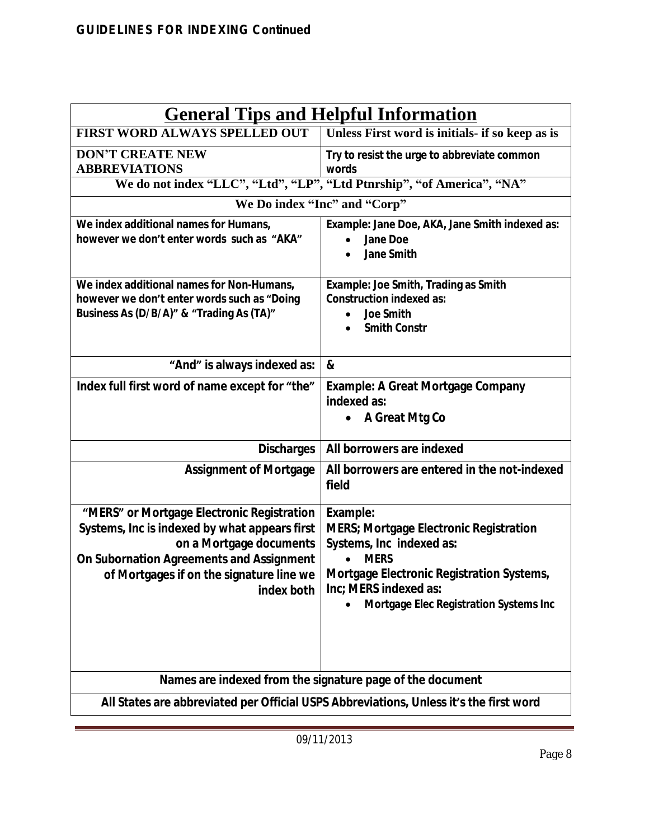| <b>General Tips and Helpful Information</b>                                                                                                                                                                                  |                                                                                                                                                                                                                      |  |  |  |  |
|------------------------------------------------------------------------------------------------------------------------------------------------------------------------------------------------------------------------------|----------------------------------------------------------------------------------------------------------------------------------------------------------------------------------------------------------------------|--|--|--|--|
| <b>FIRST WORD ALWAYS SPELLED OUT</b>                                                                                                                                                                                         | Unless First word is initials- if so keep as is                                                                                                                                                                      |  |  |  |  |
| <b>DON'T CREATE NEW</b><br><b>ABBREVIATIONS</b>                                                                                                                                                                              | Try to resist the urge to abbreviate common<br>words<br>We do not index "LLC", "Ltd", "LP", "Ltd Ptnrship", "of America", "NA"                                                                                       |  |  |  |  |
|                                                                                                                                                                                                                              |                                                                                                                                                                                                                      |  |  |  |  |
|                                                                                                                                                                                                                              | We Do index "Inc" and "Corp"                                                                                                                                                                                         |  |  |  |  |
| We index additional names for Humans,<br>however we don't enter words such as "AKA"                                                                                                                                          | Example: Jane Doe, AKA, Jane Smith indexed as:<br><b>Jane Doe</b><br><b>Jane Smith</b>                                                                                                                               |  |  |  |  |
| We index additional names for Non-Humans,<br>however we don't enter words such as "Doing<br>Business As (D/B/A)" & "Trading As (TA)"                                                                                         | Example: Joe Smith, Trading as Smith<br><b>Construction indexed as:</b><br><b>Joe Smith</b><br><b>Smith Constr</b>                                                                                                   |  |  |  |  |
| "And" is always indexed as:                                                                                                                                                                                                  | &                                                                                                                                                                                                                    |  |  |  |  |
| Index full first word of name except for "the"                                                                                                                                                                               | <b>Example: A Great Mortgage Company</b><br>indexed as:<br>A Great Mtg Co<br>$\bullet$                                                                                                                               |  |  |  |  |
| <b>Discharges</b>                                                                                                                                                                                                            | All borrowers are indexed                                                                                                                                                                                            |  |  |  |  |
| <b>Assignment of Mortgage</b>                                                                                                                                                                                                | All borrowers are entered in the not-indexed<br>field                                                                                                                                                                |  |  |  |  |
| "MERS" or Mortgage Electronic Registration<br>Systems, Inc is indexed by what appears first<br>on a Mortgage documents<br>On Subornation Agreements and Assignment<br>of Mortgages if on the signature line we<br>index both | Example:<br><b>MERS; Mortgage Electronic Registration</b><br>Systems, Inc indexed as:<br><b>MERS</b><br>Mortgage Electronic Registration Systems,<br>Inc; MERS indexed as:<br>Mortgage Elec Registration Systems Inc |  |  |  |  |
|                                                                                                                                                                                                                              | Names are indexed from the signature page of the document                                                                                                                                                            |  |  |  |  |
| All States are abbreviated per Official USPS Abbreviations, Unless it's the first word                                                                                                                                       |                                                                                                                                                                                                                      |  |  |  |  |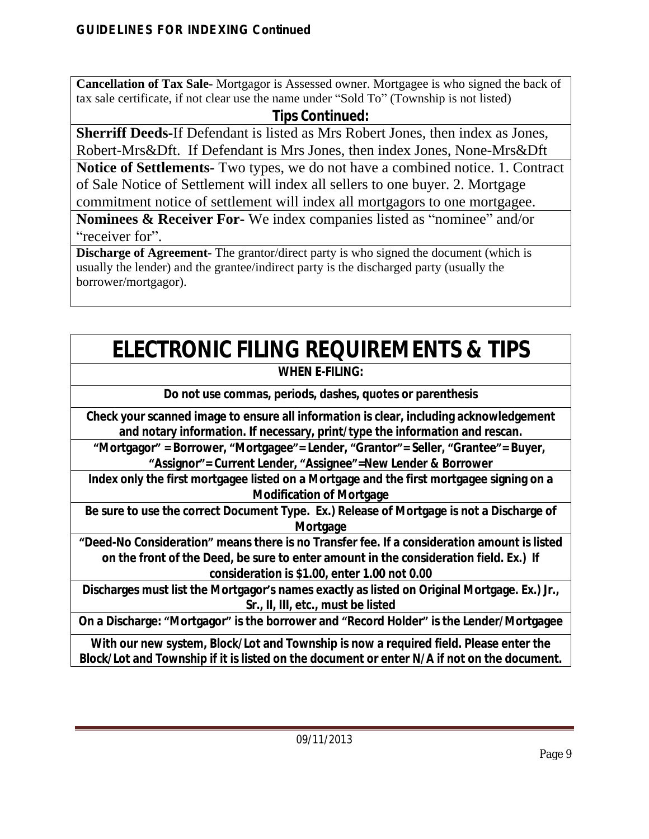**Cancellation of Tax Sale-** Mortgagor is Assessed owner. Mortgagee is who signed the back of tax sale certificate, if not clear use the name under "Sold To" (Township is not listed)

### **Tips Continued:**

**Sherriff Deeds-**If Defendant is listed as Mrs Robert Jones, then index as Jones, Robert-Mrs&Dft. If Defendant is Mrs Jones, then index Jones, None-Mrs&Dft

**Notice of Settlements-** Two types, we do not have a combined notice. 1. Contract of Sale Notice of Settlement will index all sellers to one buyer. 2. Mortgage commitment notice of settlement will index all mortgagors to one mortgagee.

**Nominees & Receiver For-** We index companies listed as "nominee" and/or "receiver for".

**Discharge of Agreement-** The grantor/direct party is who signed the document (which is usually the lender) and the grantee/indirect party is the discharged party (usually the borrower/mortgagor).

# **ELECTRONIC FILING REQUIREMENTS & TIPS**

### **WHEN E-FILING:**

**Do not use commas, periods, dashes, quotes or parenthesis**

**Check your scanned image to ensure all information is clear, including acknowledgement and notary information. If necessary, print/type the information and rescan.**

**"Mortgagor" = Borrower, "Mortgagee"= Lender, "Grantor"= Seller, "Grantee"= Buyer, "Assignor"= Current Lender, "Assignee"=New Lender & Borrower**

**Index only the first mortgagee listed on a Mortgage and the first mortgagee signing on a Modification of Mortgage**

**Be sure to use the correct Document Type. Ex.) Release of Mortgage is not a Discharge of Mortgage**

**"Deed-No Consideration" means there is no Transfer fee. If a consideration amount is listed on the front of the Deed, be sure to enter amount in the consideration field. Ex.) If consideration is \$1.00, enter 1.00 not 0.00**

**Discharges must list the Mortgagor's names exactly as listed on Original Mortgage. Ex.) Jr., Sr., II, III, etc., must be listed**

**On a Discharge: "Mortgagor" is the borrower and "Record Holder" is the Lender/Mortgagee**

**With our new system, Block/Lot and Township is now a required field. Please enter the Block/Lot and Township if it is listed on the document or enter N/A if not on the document.**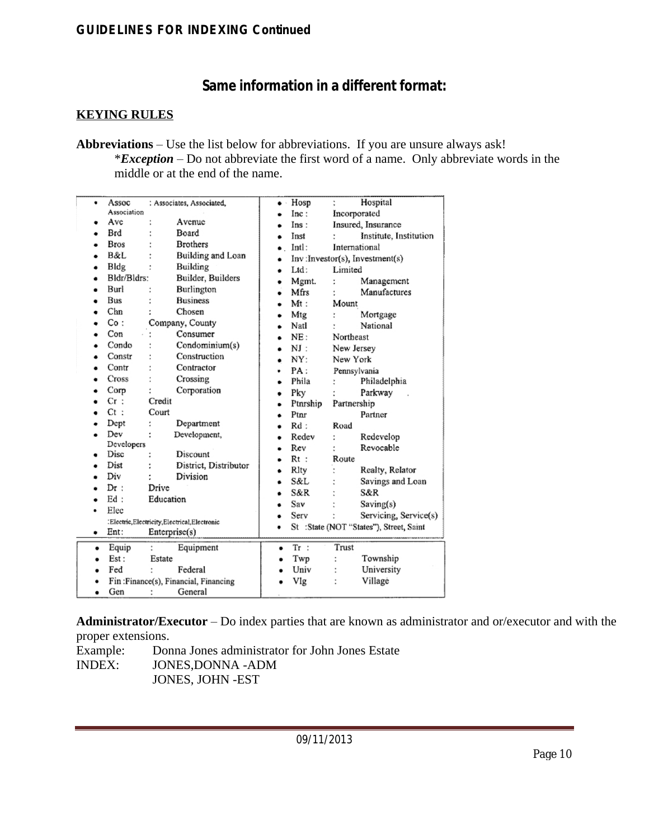### **Same information in a different format:**

#### **KEYING RULES**

**Abbreviations** – Use the list below for abbreviations. If you are unsure always ask! \**Exception* – Do not abbreviate the first word of a name. Only abbreviate words in the middle or at the end of the name.

| ٠         | Assoc        |                        | : Associates, Associated,                   | ٠         | Hosp     |             | Hospital                                |
|-----------|--------------|------------------------|---------------------------------------------|-----------|----------|-------------|-----------------------------------------|
|           | Association  |                        |                                             |           | Inc:     |             | Incorporated                            |
|           | Ave          |                        | Avenue                                      |           | Ins:     |             | Insured, Insurance                      |
|           | Brd          |                        | Board                                       |           | Inst     |             | Institute, Institution                  |
| ٠         | Bros         |                        | <b>Brothers</b>                             |           | Intl:    |             | International                           |
|           | B&L          |                        | Building and Loan                           |           |          |             | Inv:Investor(s), Investment(s)          |
| ٠         | Bldg         |                        | Building                                    |           | Ltd:     | Limited     |                                         |
| ۰         | Bldr/Bldrs:  |                        | Builder, Builders                           | ٠         | Mgmt.    |             | Management                              |
| ۰         | Burl         |                        | Burlington                                  | ۰         | Mfrs     |             | Manufactures                            |
| ۰         | Bus          |                        | <b>Business</b>                             |           | Mt:      | Mount       |                                         |
| ٠         | $_{\rm Chn}$ |                        | Chosen                                      |           | Mtg      |             | Mortgage                                |
|           | Co:          |                        | Company, County                             |           | Natl     |             | National                                |
|           | Con          |                        | Consumer                                    |           | NE:      | Northeast   |                                         |
|           | Condo        |                        | Condominium(s)                              |           | NI:      | New Jersey  |                                         |
|           | Constr       |                        | Construction                                |           | NY:      | New York    |                                         |
|           | Contr        |                        | Contractor                                  | ٠         | PA:      |             | Pennsylvania                            |
|           | Cross        |                        | Crossing                                    |           | Phila    |             | Philadelphia                            |
|           | Corp         |                        | Corporation                                 |           | Pky      |             | Parkway                                 |
|           | Cr:          | Credit                 |                                             |           | Ptnrship | Partnership |                                         |
|           | $Ct$ :       | Court                  |                                             |           | Ptnr     |             | Partner                                 |
|           | Dept         | t                      | Department                                  |           | $Rd$ :   | Road        |                                         |
|           | Dev          | t                      | Development,                                |           | Redev    |             | Redevelop                               |
|           | Developers   |                        |                                             |           | Rev      |             | Revocable                               |
|           | Disc         |                        | Discount                                    |           | $Rt$ :   | Route       |                                         |
|           | Dist         |                        | District, Distributor                       | ٠         | Rlty     |             | Realty, Relator                         |
|           | Div          |                        | Division                                    | ٠         | S&L      |             | Savings and Loan                        |
|           | Dr:          | Drive                  |                                             |           | S&R      |             | S&R                                     |
|           | Ed:          | Education              |                                             |           | Sav      |             | Saving(s)                               |
| $\bullet$ | Elec         |                        |                                             |           | Serv     |             | Servicing, Service(s)                   |
|           |              |                        | :Electric,Electricity,Electrical,Electronic | ٠         |          |             | St :State (NOT "States"), Street, Saint |
| ۰         | Ent:         | $\text{Enterprisc}(s)$ |                                             |           |          |             |                                         |
| ٠         | Equip        |                        | Equipment                                   | $\bullet$ | $Tr$ :   | Trust       |                                         |
|           | Est:         | Estate                 |                                             | $\bullet$ | Twp      |             | Township                                |
|           | Fed          |                        | Federal                                     |           | Univ     |             | University                              |
|           |              |                        | Fin:Finance(s), Financial, Financing        |           | Vlg      |             | Village                                 |
| $\bullet$ | Gen          | $\ddot{\phantom{0}}$   | General                                     |           |          |             |                                         |
|           |              |                        |                                             |           |          |             |                                         |

**Administrator/Executor** – Do index parties that are known as administrator and or/executor and with the proper extensions.

Example: Donna Jones administrator for John Jones Estate<br>INDEX: JONES, DONNA -ADM JONES, DONNA - ADM JONES, JOHN -EST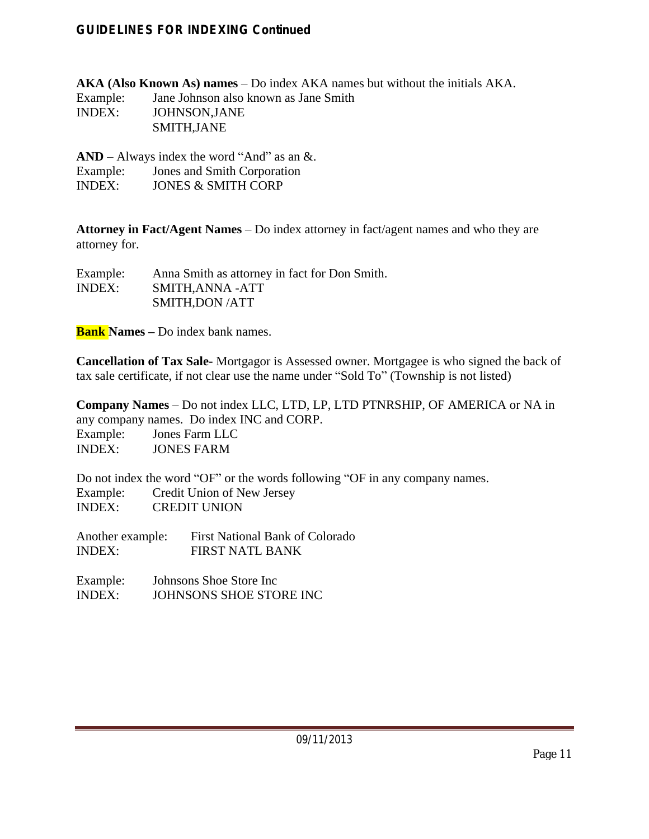**AKA (Also Known As) names** – Do index AKA names but without the initials AKA. Example: Jane Johnson also known as Jane Smith INDEX: JOHNSON,JANE SMITH,JANE

**AND** – Always index the word "And" as an &. Example: Jones and Smith Corporation<br>INDEX: JONES & SMITH CORP **JONES & SMITH CORP** 

**Attorney in Fact/Agent Names** – Do index attorney in fact/agent names and who they are attorney for.

| Example:      | Anna Smith as attorney in fact for Don Smith. |
|---------------|-----------------------------------------------|
| <b>INDEX:</b> | SMITH, ANNA - ATT                             |
|               | SMITH, DON / ATT                              |

**Bank Names –** Do index bank names.

**Cancellation of Tax Sale-** Mortgagor is Assessed owner. Mortgagee is who signed the back of tax sale certificate, if not clear use the name under "Sold To" (Township is not listed)

**Company Names** – Do not index LLC, LTD, LP, LTD PTNRSHIP, OF AMERICA or NA in any company names. Do index INC and CORP. Example: Jones Farm LLC INDEX: JONES FARM

Do not index the word "OF" or the words following "OF in any company names. Example: Credit Union of New Jersey<br>INDEX: CREDIT UNION **CREDIT UNION** 

Another example: First National Bank of Colorado INDEX: FIRST NATL BANK

Example: Johnsons Shoe Store Inc INDEX: JOHNSONS SHOE STORE INC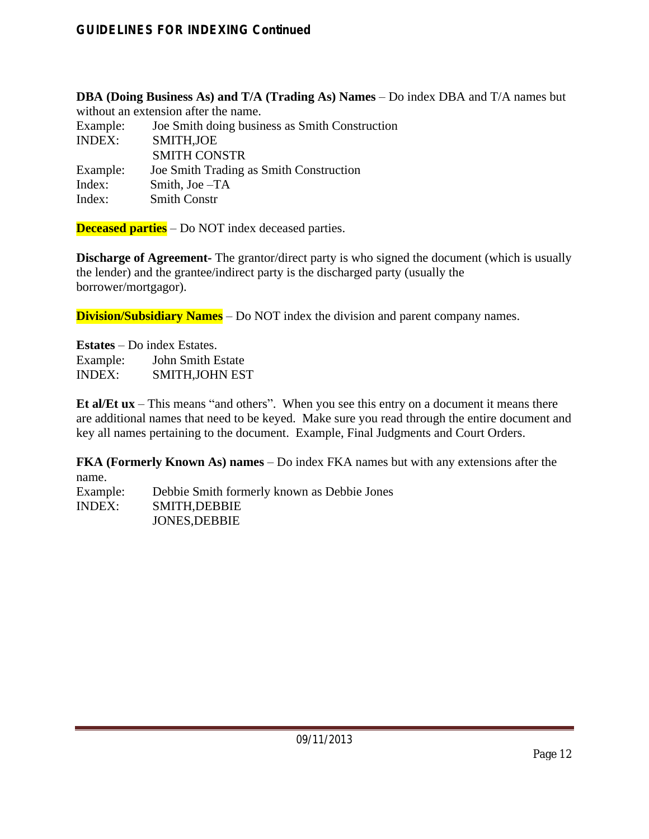**DBA (Doing Business As) and T/A (Trading As) Names** – Do index DBA and T/A names but

without an extension after the name. Example: Joe Smith doing business as Smith Construction INDEX: SMITH,JOE SMITH CONSTR Example: Joe Smith Trading as Smith Construction Index: Smith, Joe –TA<br>Index: Smith Constr **Smith Constr** 

**Deceased parties** – Do NOT index deceased parties.

**Discharge of Agreement-** The grantor/direct party is who signed the document (which is usually the lender) and the grantee/indirect party is the discharged party (usually the borrower/mortgagor).

**Division/Subsidiary Names** – Do NOT index the division and parent company names.

**Estates** – Do index Estates. Example: John Smith Estate<br>INDEX: SMITH,JOHN ES SMITH, JOHN EST

**Et al/Et ux** – This means "and others". When you see this entry on a document it means there are additional names that need to be keyed. Make sure you read through the entire document and key all names pertaining to the document. Example, Final Judgments and Court Orders.

**FKA (Formerly Known As) names** – Do index FKA names but with any extensions after the name.

Example: Debbie Smith formerly known as Debbie Jones INDEX: SMITH,DEBBIE JONES,DEBBIE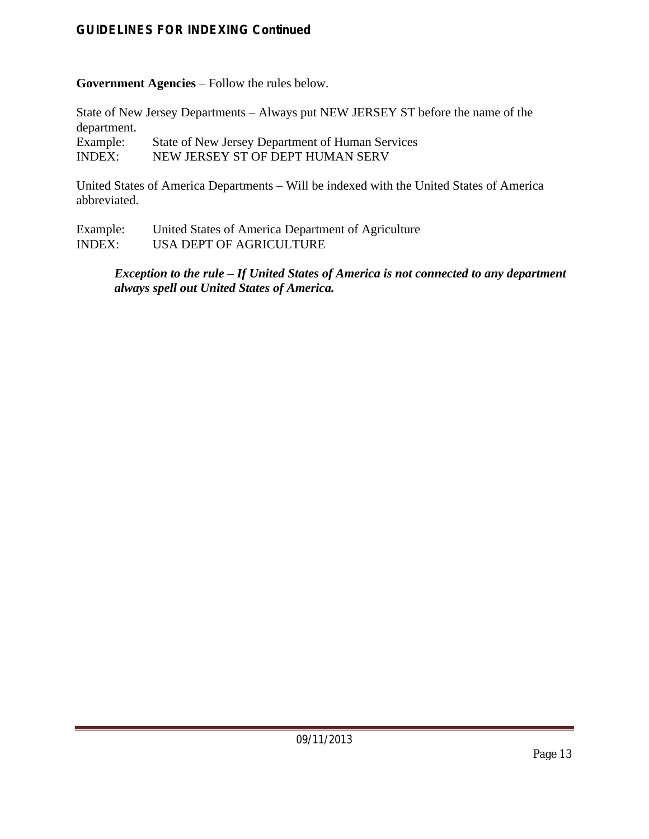**Government Agencies** – Follow the rules below.

State of New Jersey Departments – Always put NEW JERSEY ST before the name of the department.

Example: State of New Jersey Department of Human Services<br>
INDEX: NEW JERSEY ST OF DEPT HUMAN SERV NEW JERSEY ST OF DEPT HUMAN SERV

United States of America Departments – Will be indexed with the United States of America abbreviated.

Example: United States of America Department of Agriculture INDEX: USA DEPT OF AGRICULTURE

#### *Exception to the rule – If United States of America is not connected to any department always spell out United States of America.*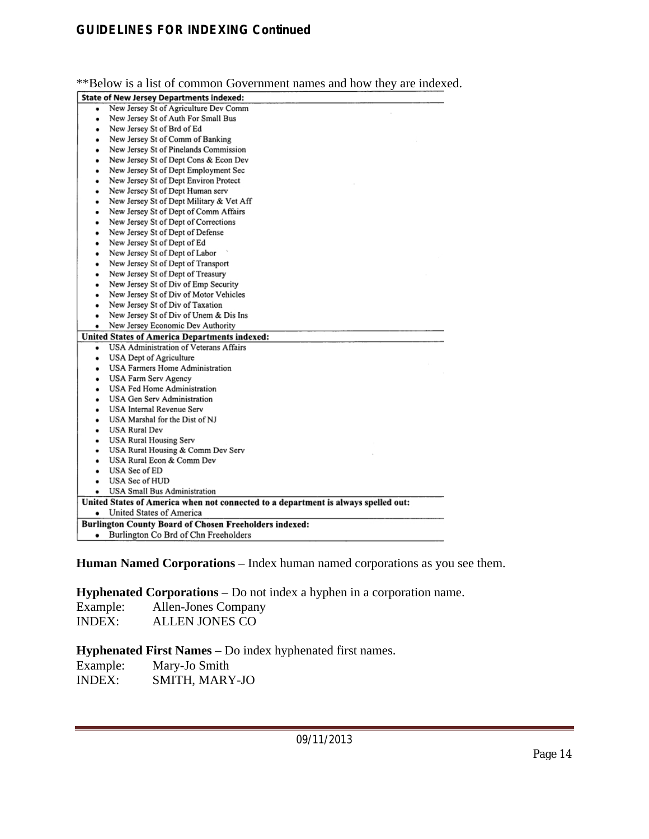\*\*Below is a list of common Government names and how they are indexed.

|   | <b>State of New Jersey Departments indexed:</b>                                    |
|---|------------------------------------------------------------------------------------|
| ٠ | New Jersey St of Agriculture Dev Comm                                              |
| ٠ | New Jersey St of Auth For Small Bus                                                |
| ٠ | New Jersey St of Brd of Ed                                                         |
| ٠ | New Jersey St of Comm of Banking                                                   |
| ٠ | New Jersey St of Pinelands Commission                                              |
|   | New Jersey St of Dept Cons & Econ Dev                                              |
| ٠ | New Jersey St of Dept Employment Sec                                               |
| ٠ | New Jersey St of Dept Environ Protect                                              |
| ۰ | New Jersey St of Dept Human serv                                                   |
| ٠ | New Jersey St of Dept Military & Vet Aff                                           |
| ٠ | New Jersey St of Dept of Comm Affairs                                              |
| ٠ | New Jersey St of Dept of Corrections                                               |
| ٠ | New Jersey St of Dept of Defense                                                   |
| ٠ | New Jersey St of Dept of Ed                                                        |
| ٠ | New Jersey St of Dept of Labor                                                     |
| ٠ | New Jersey St of Dept of Transport                                                 |
| ٠ | New Jersey St of Dept of Treasury                                                  |
| ٠ | New Jersey St of Div of Emp Security                                               |
| ٠ | New Jersey St of Div of Motor Vehicles                                             |
| ٠ | New Jersey St of Div of Taxation                                                   |
| ٠ | New Jersey St of Div of Unem & Dis Ins                                             |
|   | New Jersey Economic Dev Authority                                                  |
|   | <b>United States of America Departments indexed:</b>                               |
| ٠ | USA Administration of Veterans Affairs                                             |
| ٠ | <b>USA Dept of Agriculture</b>                                                     |
| ٠ | USA Farmers Home Administration                                                    |
| ٠ | USA Farm Serv Agency                                                               |
| ٠ | USA Fed Home Administration                                                        |
| ٠ | USA Gen Serv Administration                                                        |
| ٠ | USA Internal Revenue Serv                                                          |
| ٠ | USA Marshal for the Dist of NJ                                                     |
| ٠ | USA Rural Dev                                                                      |
| ٠ | <b>USA Rural Housing Serv</b>                                                      |
| ٠ | USA Rural Housing & Comm Dev Serv                                                  |
| ٠ | USA Rural Econ & Comm Dev                                                          |
|   | USA Sec of ED                                                                      |
| ٠ | USA Sec of HUD                                                                     |
| ٠ | USA Small Bus Administration                                                       |
|   | United States of America when not connected to a department is always spelled out: |
| ٠ | United States of America                                                           |
|   | <b>Burlington County Board of Chosen Freeholders indexed:</b>                      |
|   | Burlington Co Brd of Chn Freeholders                                               |

**Human Named Corporations –** Index human named corporations as you see them.

**Hyphenated Corporations –** Do not index a hyphen in a corporation name.

| Example: | <b>Allen-Jones Company</b> |
|----------|----------------------------|
| INDEX:   | <b>ALLEN JONES CO</b>      |

**Hyphenated First Names –** Do index hyphenated first names.

| Example:      | Mary-Jo Smith  |
|---------------|----------------|
| <b>INDEX:</b> | SMITH, MARY-JO |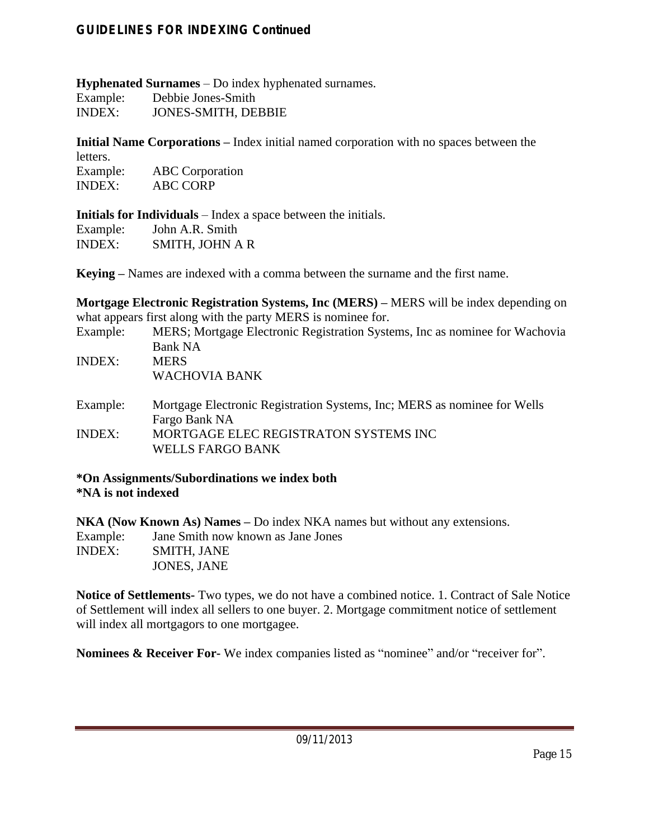**Hyphenated Surnames** – Do index hyphenated surnames. Example: Debbie Jones-Smith

INDEX: JONES-SMITH, DEBBIE

**Initial Name Corporations –** Index initial named corporation with no spaces between the letters. Example: ABC Corporation

INDEX: ABC CORP

**Initials for Individuals** – Index a space between the initials. Example: John A.R. Smith

INDEX: SMITH, JOHN A R

**Keying –** Names are indexed with a comma between the surname and the first name.

**Mortgage Electronic Registration Systems, Inc (MERS) – MERS will be index depending on** what appears first along with the party MERS is nominee for.

| Example:      | MERS; Mortgage Electronic Registration Systems, Inc as nominee for Wachovia |
|---------------|-----------------------------------------------------------------------------|
|               | <b>Bank NA</b>                                                              |
| <b>INDEX:</b> | <b>MERS</b>                                                                 |

WACHOVIA BANK

| Example:      | Mortgage Electronic Registration Systems, Inc; MERS as nominee for Wells |
|---------------|--------------------------------------------------------------------------|
|               | Fargo Bank NA                                                            |
| <b>INDEX:</b> | MORTGAGE ELEC REGISTRATON SYSTEMS INC                                    |
|               | <b>WELLS FARGO BANK</b>                                                  |

#### **\*On Assignments/Subordinations we index both \*NA is not indexed**

**NKA (Now Known As) Names –** Do index NKA names but without any extensions. Example: Jane Smith now known as Jane Jones<br>INDEX: SMITH, JANE SMITH, JANE JONES, JANE

**Notice of Settlements-** Two types, we do not have a combined notice. 1. Contract of Sale Notice of Settlement will index all sellers to one buyer. 2. Mortgage commitment notice of settlement will index all mortgagors to one mortgagee.

**Nominees & Receiver For-** We index companies listed as "nominee" and/or "receiver for".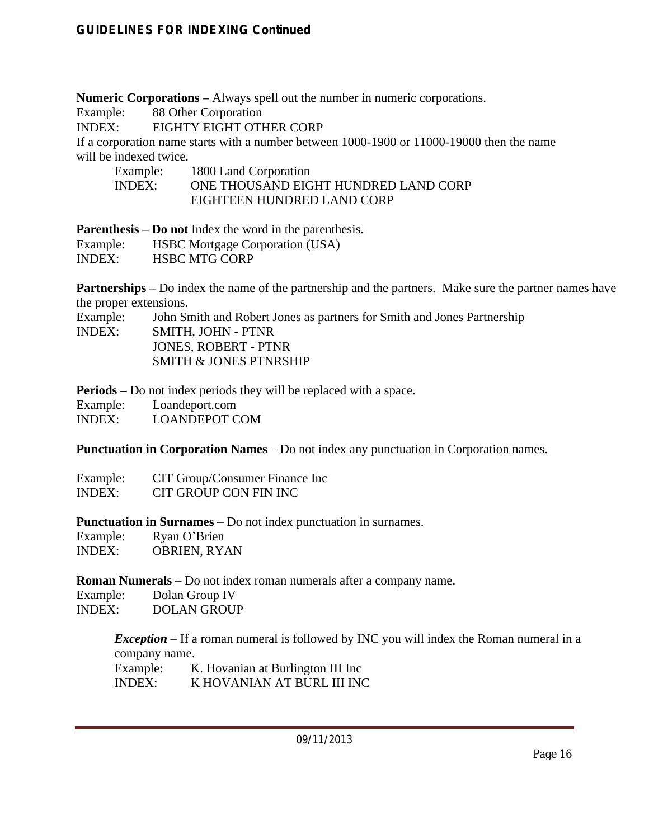**Numeric Corporations –** Always spell out the number in numeric corporations.

Example: 88 Other Corporation

INDEX: EIGHTY EIGHT OTHER CORP

If a corporation name starts with a number between 1000-1900 or 11000-19000 then the name will be indexed twice.

| Example:      | 1800 Land Corporation                |
|---------------|--------------------------------------|
| <b>INDEX:</b> | ONE THOUSAND EIGHT HUNDRED LAND CORP |
|               | EIGHTEEN HUNDRED LAND CORP           |

**Parenthesis – Do not** Index the word in the parenthesis.

| Example:      | <b>HSBC</b> Mortgage Corporation (USA) |
|---------------|----------------------------------------|
| <b>INDEX:</b> | <b>HSBC MTG CORP</b>                   |

**Partnerships – Do index** the name of the partnership and the partners. Make sure the partner names have the proper extensions.

Example: John Smith and Robert Jones as partners for Smith and Jones Partnership INDEX: SMITH, JOHN - PTNR JONES, ROBERT - PTNR SMITH & JONES PTNRSHIP

**Periods –** Do not index periods they will be replaced with a space.

| Example:      | Loandeport.com       |
|---------------|----------------------|
| <b>INDEX:</b> | <b>LOANDEPOT COM</b> |

**Punctuation in Corporation Names** – Do not index any punctuation in Corporation names.

Example: CIT Group/Consumer Finance Inc<br>
INDEX: CIT GROUP CON FIN INC CIT GROUP CON FIN INC.

**Punctuation in Surnames** – Do not index punctuation in surnames.

| Example:      | Ryan O'Brien        |
|---------------|---------------------|
| <b>INDEX:</b> | <b>OBRIEN, RYAN</b> |

**Roman Numerals** – Do not index roman numerals after a company name.

Example: Dolan Group IV INDEX: DOLAN GROUP

*Exception* – If a roman numeral is followed by INC you will index the Roman numeral in a company name.

| Example: | K. Hovanian at Burlington III Inc |
|----------|-----------------------------------|
| INDEX:   | K HOVANIAN AT BURL III INC        |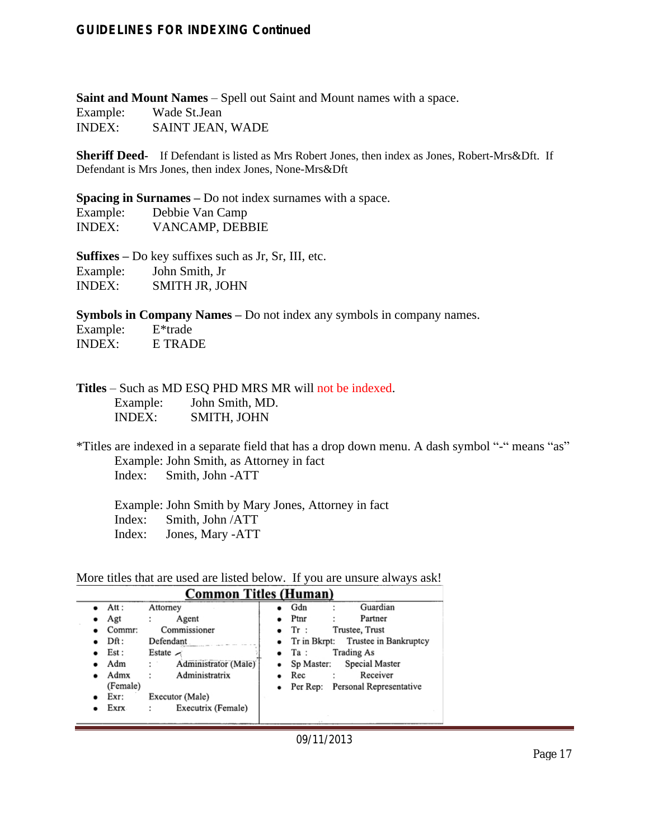**Saint and Mount Names** – Spell out Saint and Mount names with a space. Example: Wade St.Jean INDEX: SAINT JEAN, WADE

**Sheriff Deed-** If Defendant is listed as Mrs Robert Jones, then index as Jones, Robert-Mrs&Dft. If Defendant is Mrs Jones, then index Jones, None-Mrs&Dft

**Spacing in Surnames –** Do not index surnames with a space.

| Example: | Debbie Van Camp |
|----------|-----------------|
| INDEX:   | VANCAMP, DEBBIE |

**Suffixes –** Do key suffixes such as Jr, Sr, III, etc. Example: John Smith, Jr INDEX: SMITH JR, JOHN

**Symbols in Company Names –** Do not index any symbols in company names.

| Example:      | $E^*$ trade |
|---------------|-------------|
| <b>INDEX:</b> | E TRADE     |

**Titles** – Such as MD ESQ PHD MRS MR will not be indexed. Example: John Smith, MD.<br>INDEX: SMITH\_JOHN SMITH, JOHN

\*Titles are indexed in a separate field that has a drop down menu. A dash symbol "-" means "as" Example: John Smith, as Attorney in fact Index: Smith, John -ATT

 Example: John Smith by Mary Jones, Attorney in fact Index: Smith, John /ATT Index: Jones, Mary -ATT

More titles that are used are listed below. If you are unsure always ask!

| <b>Common Titles (Human)</b> |                |                      |                                                  |
|------------------------------|----------------|----------------------|--------------------------------------------------|
|                              | $\bullet$ Att: | Attorney             | Guardian<br>Gdn                                  |
| ٠                            | Agt            | Agent                | Partner<br>Ptnr                                  |
|                              | Commr:         | Commissioner         | Trustee, Trust<br>Tr:                            |
|                              | Dft:           | Defendant            | Trustee in Bankruptcy<br>$\bullet$ Tr in Bkrpt:  |
|                              | Est :          | Estate $\sim$        | <b>Trading As</b><br>Ta :<br>$\bullet$           |
|                              | Adm            | Administrator (Male) | Special Master<br>Sp Master:                     |
|                              | Admx           | Administratrix       | Receiver<br>Rec                                  |
|                              | (Female)       |                      | Personal Representative<br>Per Rep:<br>$\bullet$ |
|                              | Exr:           | Executor (Male)      |                                                  |
|                              | Exrx           | Executrix (Female)   |                                                  |
|                              |                |                      |                                                  |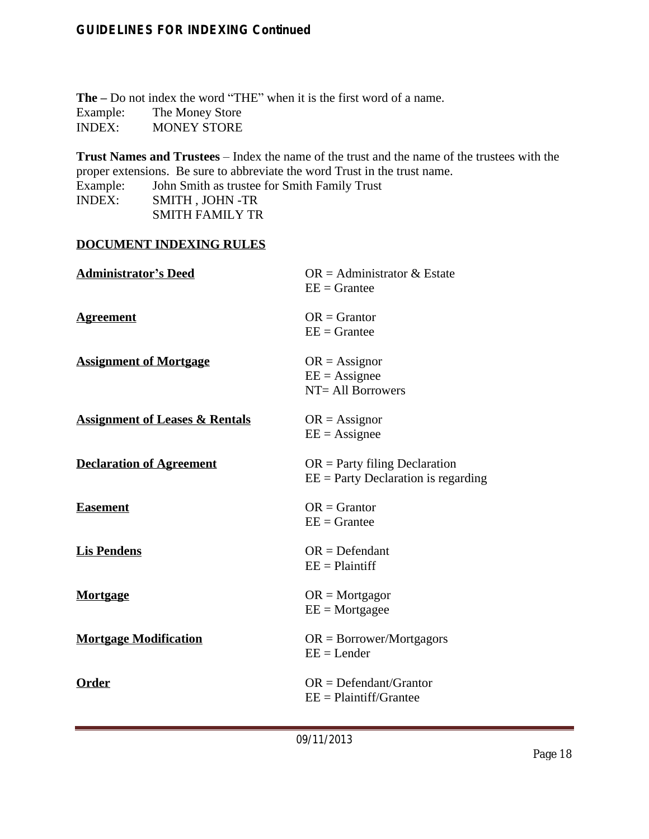**The –** Do not index the word "THE" when it is the first word of a name. Example: The Money Store<br>
INDEX: MONEY STORE MONEY STORE

**Trust Names and Trustees** – Index the name of the trust and the name of the trustees with the proper extensions. Be sure to abbreviate the word Trust in the trust name. Example: John Smith as trustee for Smith Family Trust<br>INDEX: SMITH, JOHN -TR SMITH , JOHN -TR

SMITH FAMILY TR

#### **DOCUMENT INDEXING RULES**

| <b>Administrator's Deed</b>               | $OR =$ Administrator & Estate<br>$EE =$ Grantee                          |
|-------------------------------------------|--------------------------------------------------------------------------|
| <b>Agreement</b>                          | $OR =$ Grantor<br>$EE =$ Grantee                                         |
| <b>Assignment of Mortgage</b>             | $OR = Assignor$<br>$EE = Assignee$<br>NT= All Borrowers                  |
| <b>Assignment of Leases &amp; Rentals</b> | $OR = Assignor$<br>$EE = Assignee$                                       |
| <b>Declaration of Agreement</b>           | $OR =$ Party filing Declaration<br>$EE =$ Party Declaration is regarding |
| <b>Easement</b>                           | $OR =$ Grantor<br>$EE =$ Grantee                                         |
| <b>Lis Pendens</b>                        | $OR = Defendant$<br>$EE = \text{Plaintiff}$                              |
| <b>Mortgage</b>                           | $OR = Mortgager$<br>$EE = Mortgage$                                      |
| <b>Mortgage Modification</b>              | $OR = Borrower/Mortgagors$<br>$EE = Lender$                              |
| Order                                     | $OR = Defendant/Grantor$<br>$EE = Plaintif/Grantee$                      |